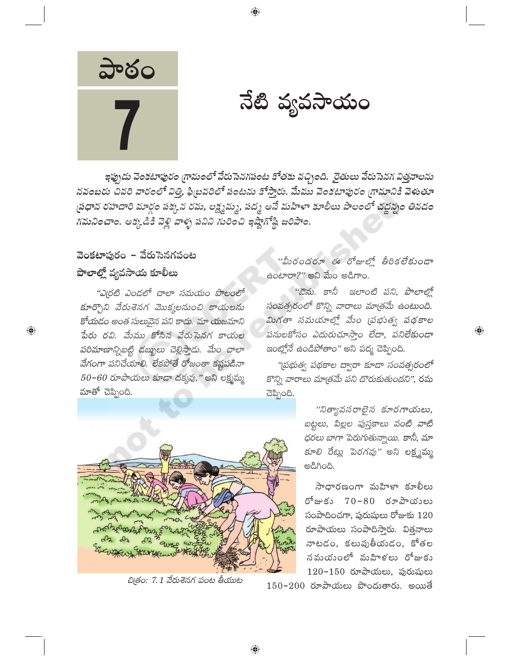

నేటి వ్యవసాయం

ఇప్పుడు వెంకటాపురం గ్రామంలో వేరుసెనగపంట కోతకు వచ్చింది. రైతులు వేరుసెనగ విత్తనాలను నవంబరు చివరి వారంలో విత్తి, ఫిబ్రవరిలో పంటను కోస్తారు. మేము వెంకటాపురం గ్రామానికి వెళుతూ స్రధాన రహదారి మార్గం పక్కన రమ, లక్ష్మమ్మ, పద్మ అనే మహిళా కూలీలు పొలంలో చద్దన్నం తినడం గమనించాం. అక్కడికి వెళ్లి వాళ్ళ పనిని గురించి ఇష్టాగోష్టి జరిపాం.

⊕

## వెంకటాపురం - వేరుసెనగపంట పొలాల్లో వ్యవసాయ కూలీలు

 $\bigoplus$ 

"ఎ(రటి ఎండలో చాలా సమయం పొలంలో కూర్చొని వేరుశెనగ మొక్కలనుంచి కాయలను కోయడం అంత సులువైన పని కాదు. మా యజమాని పేరు రవి. మేము కోసిన వేరుసెనగ కాయల పరిమాణాన్నిబట్టి డబ్బులు చెల్లిస్తాడు. మేం చాలా వేగంగా పనిచేయాలి. లేకపోతే రోజంతా కష్టపడినా  $50 - 60$  రూపాయలు కూడా దక్కవు," అని లక్ష్మమ్మ మాతో చెప్పింది.



చిత్రం: 7.1 వేరుశెనగ పంట తీయుట

''మీరందరూ ఈ రోజుల్లో తీరికలేకుండా ఉంటారా?" అని మేం అడిగాం.

"ఔను. కానీ ఇలాంటి పని, పొలాల్లో సంవత్సరంలో కొన్ని వారాలు మాత్రమే ఉంటుంది. మిగతా నమయాల్లో మేం (పభుత్వ పథకాల పనులకోసం ఎదురుచూస్తాం లేదా, పనిలేకుండా *ఇంట్లోనే ఉండిపోతాం"* అని పద్మ చెప్పింది.

 $\textcircled{\scriptsize{*}}$ 

"ప్రభుత్వ పథకాల ద్వారా కూడా సంవత్సరంలో కొన్ని వారాలు మాత్రమే పని దొరుకుతుందని", రమ చెప్పింది.

> "నిత్యావసరాలైన కూరగాయలు, బట్టలు, పిల్లల పుస్తకాలు వంటి వాటి ధరలు బాగా పెరుగుతున్నాయి. కానీ, మా కూలి రేట్లు పెరగవు" అని లక్ష్మమ్మ ಅಡಿಗಿಂದಿ.

సాధారణంగా మహిళా కూలీలు రోజుకు 70-80 రూపాయులు సంపాదించగా, పురుషులు రోజుకు  $120$ రూపాయలు సంపాదిస్తారు. విత్తనాలు నాటడం, కలుపుతీయదం, కోతల నమయంలో మహిళలు రోజుకు  $120 - 150$  రూపాయలు, పురుషులు  $150$ – $200$  రూపాయలు పొందుతారు. అయితే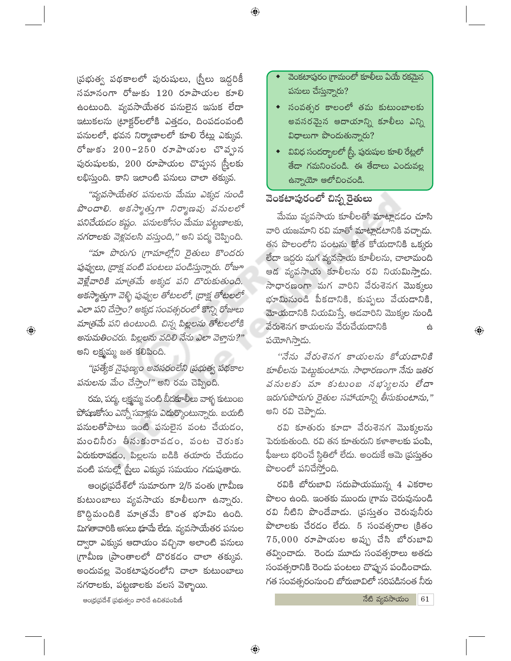(పభుత్వ పథకాలలో పురుషులు, (స్త్రీలు ఇద్దరికీ సమానంగా రోజుకు 120 రూపాయల కూలి ఉంటుంది. వ్యవసాయేతర పనులైన ఇసుక లేదా ఇటుకలను (టాక్టర్లలలోకి ఎత్తడం, దింపడంవంటి పనులలో, భవన నిర్మాణాలలో కూలి రేట్లు ఎక్కువ. రోజుకు 200-250 రూపాయుల చొవృున పురుషులకు, 200 రూపాయల చొప్పున స్ర్తీలకు లభిస్తుంది. కాని ఇలాంటి పనులు చాలా తక్కువ.

"వ్యవసాయేతర పనులను మేము ఎక్కడ నుండి పొందాలి. అకస్మాత్తుగా నిర్మాణపు పనులలో పనిచేయడం కష్టం. పనులకోసం మేము పట్టణాలకు, నగరాలకు వెళ్లవలసి వస్తుంది," అని పద్మ చెప్పింది.

"మా పొరుగు గ్రామాల్లోని రైతులు కొందరు పువ్వులు, ద్రాక్ష వంటి పంటలు పండిస్తున్నారు. రోజూ వెళ్లేవారికి మాత్రమే అక్కడ పని దొరుకుతుంది. అకస్మాత్తుగా వెళ్ళి పువ్వుల తోటలలో, (దాక్ష తోటలలో ఎలా పని చేస్తాం? అక్కడ సంవత్సరంలో కొన్ని రోజులు మాత్రమే పని ఉంటుంది. చిన్న పిల్లలను తోటలలోకి అనుమతించరు. పిల్లలను వదిలి నేను ఎలా వెక్తాను?" అని లక్ష్మమ్మ జత కలిపింది.

 $\bigoplus$ 

"(పత్యేక నైపుణ్యం అవసరంలేని (పభుత్వ పథకాల పనులను మేం చేస్తాం!" అని రమ చెప్పింది.

రమ, పద్మ, లక్ష్మమ్మ వంటి బీదకూలీలు వాళ్ళ కుటుంబ పోషణకోసం ఎన్నో సవాక్షను ఎదుర్కొంటున్నారు. బయటి పనులతోపాటు ఇంటి పనులైన వంట చేయడం, మంచినీరు తీసుకురావడం, వంట చెరుకు ఏరుకురావడం, పిల్లలను బడికి తయారు చేయడం వంటి పనుల్లో స్త్రీలు ఎక్కువ సమయం గడుపుతారు.

ఆంధ్రప్రదేశ్లో సుమారుగా 2/5 వంతు గ్రామీణ కుటుంబాలు వ్యవసాయ కూలీలుగా ఉన్నారు. కొద్దిమందికి మాత్రమే కొంత భూమి ఉంది. మిగతావారికి అసలు భూమే లేదు. వ్యవసాయేతర పనుల ద్వారా ఎక్కువ ఆదాయం వచ్చినా అలాంటి పనులు గ్రామీణ (పాంతాలలో దొరకడం చాలా తక్కువ. అందువల్ల వెంకటాపురంలోని చాలా కుటుంబాలు నగరాలకు, పట్టణాలకు వలస వెళ్ళాయి.

- వెంకటాపురం గ్రామంలో కూలీలు ఏయే రకమైన పనులు చేస్తున్నారు?
- సంవత్సర కాలంలో తమ కుటుంబాలకు అవసరమైన ఆదాయాన్ని కూలీలు ఎన్ని విధాలుగా పొందుతున్నారు?
- $\bullet$   $\;$  వివిధ సందర్భాలలో స్త్రీ, పురుషుల కూలి రేట్లలో తేదా గమనించండి. ఈ తేదాలు ఎందువల్ల ఉన్నాయో ఆలోచించండి.

#### వెంకటాపురంలో చిన్న రైతులు

 $\bigoplus$ 

మేము వ్యవసాయ కూలీలతో మాట్లాడడం చూసి వారి యజమాని రవి మాతో మాట్లాడటానికి వచ్చాడు. తన పొలంలోని పంటను కోత కోయడానికి ఒక్కరు లేదా ఇద్దరు మగ వ్యవసాయ కూలీలను, చాలామంది ఆడ వ్యవసాయ కూలీలను రవి నియమిస్తాడు. సాధారణంగా మగ వారిని వేరుశెనగ మొక్కలు భూమినుండి పీకడానికి, కుప్పలు వేయడానికి, మోయడానికి నియమిస్తే, ఆడవారిని మొక్కల నుండి వేరుశెనగ కాయలను వేరుచేయడానికి 台 పయోగిసాదు.

''నేను వేరుశెనగ కాయలను కోయడానికి కూలీలను పెట్టుకుంటాను. సాధారణంగా నేను ఇతర వనులకు వూ కుటుంబ నభ్యులను లేదా ఇరుగుపొరుగు రైతుల సహాయాన్ని తీసుకుంటాను," అని రవి చెప్పాడు.

రవి కూతురు కూడా వేరుశెనగ మొక్కలను పెరుకుతుంది. రవి తన కూతురుని కళాశాలకు పంపి, ఫీజులు భరించే స్థితిలో లేదు. అందుకే ఆమె (పస్తుతం పొలంలో పనిచేస్తోంది.

రవికి బోరుబావి సదుపాయమున్న 4 ఎకరాల పొలం ఉంది. ఇంతకు ముందు గ్రామ చెరువునుండి రవి నీటిని పొందేవాడు. (పస్తుతం చెరువునీరు పొలాలకు చేరడం లేదు. 5 సంవత్సరాల క్రితం 75,000 రూపాయల అప్పు చేసి బోరుబావి తవ్వించాడు. రెండు మూడు సంవత్సరాలు అతడు సంవత్సరానికి రెండు పంటలు చొప్పున పండించాడు. గత సంవత్సరంనుంచి బోరుబావిలో సరిపడినంత నీరు

ఆంధ్రప్రదేశ్ (పభుత్వం వారిచే ఉచితపంపిణీ

నేటి వ్యవసాయం 61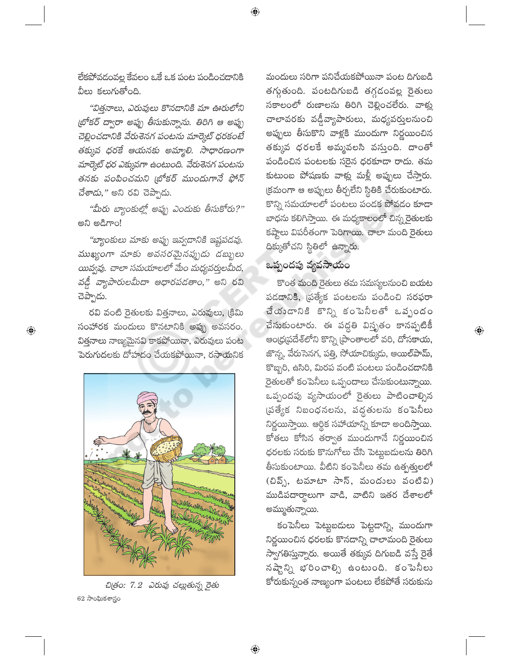లేకపోవడంవల్ల కేవలం ఒకే ఒక పంట పండించడానికి వీలు కలుగుతోంది.

"విత్తనాలు, ఎరువులు కొనడానికి మా ఊరులోని (బోకర్ ద్వారా అప్పు తీసుకున్నాను. తిరిగి ఆ అప్పు చెల్లించడానికి వేరుశెనగ పంటను మార్కెట్ ధరకంటే తక్కువ ధరకే ఆయనకు అమ్మాలి. సాధారణంగా మార్కెట్ ధర ఎక్కువగా ఉంటుంది. వేరుశెనగ పంటను తనకు పంపించమని (బోకర్ ముందుగానే ఫోన్ చేశాడు," అని రవి చెప్పాడు.

"మీరు బ్యాంకుల్లో అప్పు ఎందుకు తీసుకోరు?" అని అడిగాం!

"బ్యాంకులు మాకు అప్పు ఇవ్వడానికి ఇష్టపడవు. ముఖ్యంగా మాకు అవసరమైనప్పుడు డబ్బులు యివ్వవు. చాలా సమయాలలో మేం మధ్యవర్తులమీద, వడ్డీ వ్యాపారులమీదా ఆధారపడతాం," అని రవి చెప్పాడు.

రవి వంటి రైతులకు విత్తనాలు, ఎరువులు, క్రిమి సంహారక మందులు కొనటానికి అప్పు అవసరం. విత్తనాలు నాణ్యమైనవి కాకపోయినా, ఎరువులు పంట పెరుగుదలకు దోహదం చేయకపోయినా, రసాయనిక

 $\bigoplus$ 



చిత్రం: 7.2 ఎరువు చల్లుతున్న రైతు 62 సాంఘికశాస్త్రం

మందులు సరిగా పనిచేయకపోయినా పంట దిగుబడి తగ్శతుంది. పంటదిగుబడి తగ్గడంవల్ల రైతులు సకాలంలో రుణాలను తిరిగి చెల్లించలేరు. వాళ్లు చాలావరకు వడ్డీవ్యాపారులు, మధ్యవర్తులనుంచి అప్పులు తీసుకొని వాళ్లకి ముందుగా నిర్ణయించిన తక్కువ ధరలకే అమ్మవలసి వస్తుంది. దాంతో పండించిన పంటలకు సరైన ధరకూడా రాదు. తమ కుటుంబ పోషణకు వాళ్లు మళ్లీ అప్పులు చేస్తారు. క్రమంగా ఆ అప్పులు తీర్చలేని స్థితికి చేరుకుంటారు. కొన్ని సమయాలలో పంటలు పండక పోవడం కూడా బాధను కలిగిస్తాయి. ఈ మధ్యకాలంలో చిన్న రైతులకు కష్టాలు విపరీతంగా పెరిగాయి. చాలా మంది రైతులు దిక్కుతోచని స్థితిలో ఉన్నారు.

## ఒప్పందపు వ్యవసాయం

 $\bigoplus$ 

కొంత మంది రైతులు తమ సమస్యలనుంచి బయట పడడానికి, ప్రత్యేక పంటలను పండించి సరఫరా చేయండానికి కొన్ని కంపెనీలతో ఒవృందం చేసుకుంటారు. ఈ పద్ధతి విస్తృతం కానప్పటికీ ఆంధ్రప్రదేశ్లోని కొన్ని [పాంతాలలో వరి, దోసకాయ, జొన్న, వేరుసెనగ, పత్తి, సోయాచిక్కుడు, ఆయిల్పామ్, కొబ్బరి, ఉసిరి, మిరప వంటి పంటలు పండించడానికి రైతులతో కంపెనీలు ఒప్పందాలు చేసుకుంటున్నాయి. ఒప్పందపు వ్యసాయంలో రైతులు పాటించాల్సిన (పత్యేక నిబంధనలను, పద్ధతులను కంపెనీలు నిర్ణయిస్తాయి. ఆర్థిక సహాయాన్ని కూడా అందిస్తాయి. కోతలు కోసిన తర్వాత ముందుగానే నిర్ణయించిన ధరలకు సరుకు కొనుగోలు చేసి పెట్టబదులను తిరిగి తీసుకుంటాయి. వీటిని కంపెనీలు తమ ఉత్పత్తులలో (చివ్ప్, టమాటా సాస్, మందులు వంటివి) ముడిపదార్థాలుగా వాడి, వాటిని ఇతర దేశాలలో అమ్ముతున్నాయి.

 $\bigoplus$ 

కంపెనీలు పెట్టుబడులు పెట్టడాన్ని, ముందుగా నిర్ణయించిన ధరలకు కొనడాన్ని చాలామంది రైతులు స్వాగతిస్తున్నారు. అయితే తక్కువ దిగుబడి వస్తే రైతే నష్టాన్ని భరించాల్సి ఉంటుంది. కంపెనీలు కోరుకున్నంత నాణ్యంగా పంటలు లేకపోతే సరుకును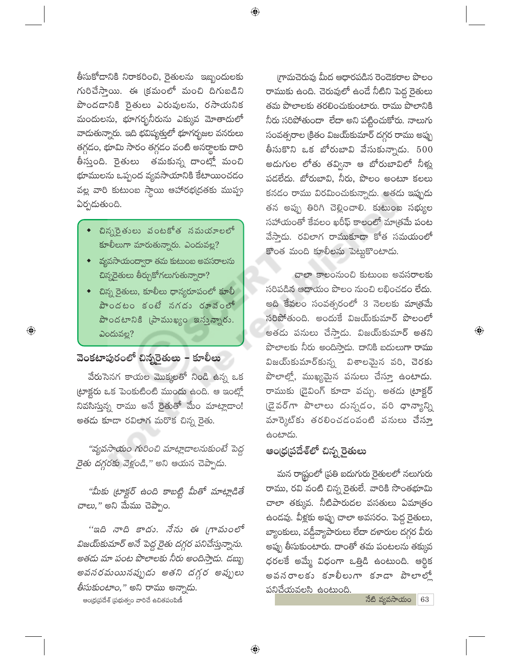$\bigoplus$ 

తీసుకోడానికి నిరాకరించి, రైతులను ఇబ్బందులకు గురిచేస్తాయి. ఈ క్రమంలో మంచి దిగుబడిని పొందడానికి రైతులు ఎరువులను, రసాయనిక మందులను, భూగర్భనీరును ఎక్కువ మోతాదులో వాదుతున్నారు. ఇది భవిష్యత్తులో భూగర్భజల వనరులు తగ్గడం, భూమి సారం తగ్గడం వంటి అనర్థాలకు దారి తీస్తుంది. రైతులు తమకున్న దాంట్లో మంచి భూములను ఒప్పంద వ్యవసాయానికి కేటాయించడం వల్ల వారి కుటుంబ స్థాయి ఆహారభ(దతకు ముప్పు ఏర్పడుతుంది.

- చిన్నరైతులు వంటకోత నమయాలలో కూలీలుగా మారుతున్నారు. ఎందువల్ల?
- వ్యవసాయంద్వారా తమ కుటుంబ అవసరాలను చిన్నరైతులు తీర్చుకోగలుగుతున్నారా?
- చిన్న రైతులు, కూలీలు ధాన్యరూపంలో కూలీ పొందటం కంటే నగదు రూవంలో పొందటానికి (పాముఖ్యం ఇన్తున్నారు. ఎందువల్ల?

## వెంకటాపురంలో చిన్నరైతులు – కూలీలు

వేరుసెనగ కాయల మొక్కలతో నిండి ఉన్న ఒక ట్రాక్టరు ఒక పెంకుటింటి ముందు ఉంది. ఆ ఇంట్హో నివసిస్తున్న రాము అనే రైతుతో మేం మాట్లాడాం! అతడు కూడా రవిలాగ మరొక చిన్న రైతు.

"వ్యవసాయం గురించి మాట్లాడాలనుకుంటే పెద్ద *రైతు దగ్గరకు వెళ్లండి,*" అని ఆయన చెప్పాడు.

"మీకు ట్రాక్టర్ ఉంది కాబట్టి మీతో మాట్లాడితే *చాలు,"* అని మేము చెప్పాం.

''ఇది నాది కాదు. నేను ఈ (గామంలో విజయ్కమార్ అనే పెద్ద రైతు దగ్గర పనిచేస్తున్నాను. అతడు మా పంట పొలాలకు నీరు అందిస్తాడు. డబ్బు అవనరమయినప్పుడు అతని దగ్గర అప్పులు *తీసుకుంటాం*," అని రాము అన్నాడు.

ఆంధ్రప్రదేశ్ (పభుత్వం వారిచే ఉచితపంపిణీ

గ్రామచెరువు మీద ఆధారపడిన రెండెకరాల పొలం రాముకు ఉంది. చెరువులో ఉండే నీటిని పెద్ద రైతులు తమ పొలాలకు తరలించుకుంటారు. రాము పొలానికి నీరు సరిపోతుందా లేదా అని పట్టించుకోరు. నాలుగు సంవత్సరాల క్రితం విజయ్కమార్ దగ్గర రాము అప్పు తీసుకొని ఒక బోరుబావి వేసుకున్నాడు.  $500$ అదుగుల లోతు తవ్వినా ఆ బోరుబావిలో నీళ్లు పడలేదు. బోరుబావి, నీరు, పొలం అంటూ కలలు కనడం రాము విరమించుకున్నాడు. అతడు ఇప్పుడు తన అప్పు తిరిగి చెల్లించాలి. కుటుంబ సభ్యుల సహాయంతో కేవలం ఖరీఫ్ కాలంలో మాత్రమే పంట వేసాడు. రవిలాగ రాముకూడా కోత సమయంలో కొంత మంది కూలీలను పెట్టుకొంటాడు.

చాలా కాలంనుంచి కుటుంబ అవసరాలకు సరిపడిన ఆదాయం పొలం నుంచి లభించడం లేదు. అది కేవలం సంవత్సరంలో 3 నెలలకు మాత్రమే సరిపోతుంది. అందుకే విజయ్కుమార్ పొలంలో అతడు పనులు చేస్తాడు. విజయ్కుమార్ అతని పొలాలకు నీరు అందిస్తాదు. దానికి బదులుగా రాము విజయ్5మార్కున్న విశాలమైన వరి, చెరకు పొలాల్లో, ముఖ్యమైన పనులు చేస్తూ ఉంటాడు. రాముకు (డైవింగ్ కూడా వచ్చు. అతడు ట్రాక్టర్ (డైవర్గా పొలాలు దున్నడం, వరి ధాన్యాన్ని మార్కెట్కు తరలించడంవంటి పనులు చేస్తూ ఉంటాడు.

# ఆంధ్రప్రదేశ్లో చిన్న రైతులు

మన రాష్ట్రంలో (పతి ఐదుగురు రైతులలో నలుగురు రాము, రవి వంటి చిన్న రైతులే. వారికి సొంతభూమి చాలా తక్కువ. నీటిపారుదల వసతులు ఏమాత్రం ఉండవు. వీళ్లకు అప్పు చాలా అవసరం. పెద్ద రైతులు, బ్యాంకులు, వడ్డీవ్యాపారులు లేదా దళారుల దగ్గర వీరు అప్పు తీసుకుంటారు. దాంతో తమ పంటలను తక్కువ ధరలకే అమ్మే విధంగా ఒత్తిడి ఉంటుంది. ఆర్థిక అవనరాలకు కూలీలుగా కూడా పొలాలో పనిచేయవలసి ఉంటుంది.

 $\vec{a}$ బి వ్యవసాయం  $\vec{a}$  63

 $\textcircled{\scriptsize{*}}$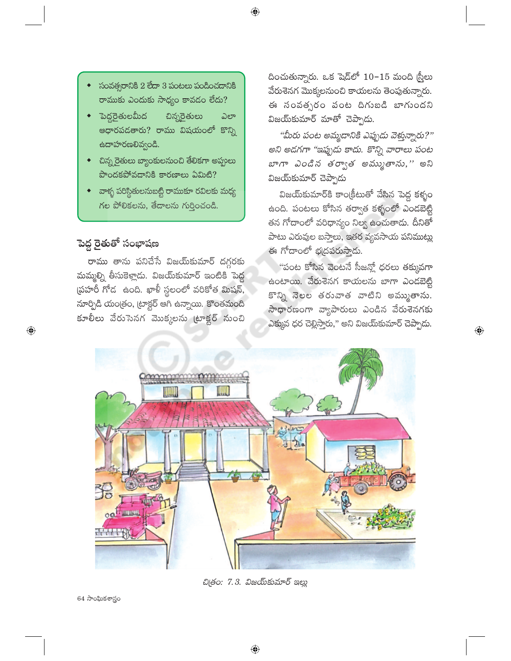- సంవత్సరానికి 2 లేదా 3 పంటలు పండించడానికి రాముకు ఎందుకు సాధ్యం కావడం లేదు?
- <u>ెపెద్ద</u>రైతులమీద చిన్నరైతులు ಎಲ್ ఆధారపడతారు? రాము విషయంలో కొన్ని ఉదాహరణలివ్వండి.
- చిన్న రైతులు బ్యాంకులనుంచి తేలికగా అప్పులు పొందకపోవడానికి కారణాలు ఏమిటి?
- వాళ్ళ పరిస్థితులనుబట్టి రాముకూ రవిలకు మధ్య గల పోలికలను, తేదాలను గుర్తించండి.

#### పెద్ద రైతుతో సంభాషణ

 $\bigoplus$ 

రాము తాను పనిచేసే విజయ్కుమార్ దగ్గరకు మమ్మల్ని తీసుకెళ్లాడు. విజయ్కమార్ ఇంటికి పెద్ద ప్రహరీ గోడ ఉంది. ఖాళీ స్థలంలో వరికోత మిషన్, నూర్పిడి యంత్రం, ట్రాక్టర్ ఆగి ఉన్నాయి. కొంతమంది కూలీలు వేరుసెనగ మొక్కలను ట్రాక్టర్ నుంచి దించుతున్నారు. ఒక షెడ్లో  $10-15$  మంది స్టీలు వేరుశెనగ మొక్కలనుంచి కాయలను తెంపుతున్నారు. ఈ సంవత్సరం పంట దిగుబడి బాగుందని విజయ్కుమార్ మాతో చెప్పాడు.

"మీరు పంట అమ్మడానికి ఎప్పుడు వెక్తున్నారు?" అని అడగగా "ఇప్పుడు కాదు. కొన్ని వారాలు పంట *బాగా ఎండిన తర్వాత అమ్ముతాను,''* అని విజయ్కుమార్ చెప్పాడు

విజయ్కుమార్కి కాంక్రీటుతో వేసిన పెద్ద కళ్ళం ఉంది. పంటలు కోసిన తర్వాత కళ్ళంలో ఎండబెట్టి తన గోదాంలో వరిధాన్యం నిల్వ ఉంచుతాడు. దీనితో పాటు ఎరువుల బస్తాలు, ఇతర వ్యవసాయ పనిముట్లు ఈ గోదాంలో భ(దపరుస్తాడు.

"పంట కోసిన వెంటనే సీజన్లో ధరలు తక్కువగా ఉంటాయి. వేరుశెనగ కాయలను బాగా ఎండబెట్టి కొన్ని నెలల తరువాత వాటిని అమ్ముతాను. సాధారణంగా వ్యాపారులు ఎండిన వేరుశెనగకు ఎక్కువ ధర చెల్లిస్తారు," అని విజయ్ మార్ చెప్పాడు.

 $\bigoplus$ 



 $\bigoplus$ 

చిత్రం: 7.3. విజయ్కమార్ ఇల్లు

64 సాంఘికశాస్త్రం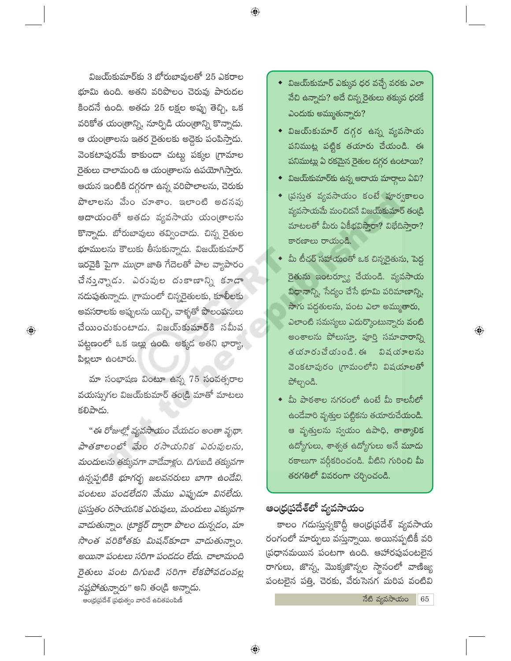$\bigoplus$ 

విజయ్కమార్కు 3 బోరుబావులతో 25 ఎకరాల భూమి ఉంది. అతని వరిపొలం చెరువు పారుదల కిందనే ఉంది. అతడు 25 లక్షల అప్పు తెచ్చి, ఒక వరికోత యంత్రాన్ని, నూర్పిడి యంత్రాన్ని కొన్నాడు. ఆ యం[తాలను ఇతర రైతులకు అద్దెకు పంపిస్తాడు. వెంకటాపురమే కాకుండా చుట్టు పక్కల గ్రామాల రైతులు చాలామంది ఆ యంత్రాలను ఉపయోగిస్తారు. ఆయన ఇంటికి దగ్గరగా ఉన్న వరిపొలాలను, చెరుకు పొలాలను మేం చూశాం. ఇలాంటి అదనపు ఆదాయంతో అతడు వ్యవసాయ యం(తాలను కొన్నాడు. బోరుబావులు తవ్వించాడు. చిన్న రైతుల భూములను కౌలుకు తీసుకున్నాడు. విజయ్కమార్ ఇరవైకి పైగా *ముర్రా* జాతి గేదెలతో పాల వ్యాపారం చే నున్నాడు. ఎరువుల దుకాణాన్ని కూడా నదుపుతున్నాదు. (గామంలో చిన్నరైతులకు, కూలీలకు అవసరాలకు అప్పులను యిచ్చి, వాళ్ళతో పొలంపనులు చేయించుకుంటాడు. విజయ్కమార్ కనమీప పట్టణంలో ఒక ఇల్లు ఉంది. అక్కడ అతని భార్యా, పిల్లలూ ఉంటారు.

మా సంభాషణ వింటూ ఉన్న 75 సంవత్సరాల వయస్సుగల విజయ్కమార్ తండ్రి మాతో మాటలు కలిపాడు.

 $\bigoplus$ 

"ఈ రోజుల్లో వ్యవసాయం చేయడం అంతా వృథా. పాతకాలంలో మేం రసాయనిక ఎరువులను, మందులను తక్కువగా వాడేవాళ్లం. దిగుబడి తక్కువగా ఉన్నప్పటికి భూగర్భ జలవనరులు బాగా ఉండేవి. పంటలు పండలేదని మేము ఎప్పుడూ వినలేదు. (పస్తుతం రసాయనిక ఎరువులు, మందులు ఎక్కువగా వాడుతున్నాం. (టాక్టర్ ద్వారా పొలం దున్నడం, మా సొంత వరికోతకు మిషన్కూడా వాడుతున్నాం. అయినా పంటలు సరిగా పండడం లేదు. చాలామంది రైతులు పంట దిగుబడి సరిగా లేకపోవడంవల్ల నష్టపోతున్నారు" అని తండ్రి అన్నాడు. ఆంధ్రప్రదేశ్ (పభుత్వం వారిచే ఉచితపంపిణీ

- $\bullet$  విజయ్కుమార్ ఎక్కువ ధర వచ్చే వరకు ఎలా వేచి ఉన్నాదు? అదే చిన్న రైతులు తక్కువ ధరకే ఎందుకు అమ్ముతున్నారు?
- విజయ్sపమార్ దగ్గర ఉన్న వ్యవసాయ పనిముట్ల పట్టిక తయారు చేయండి. ఈ పనిముట్లు ఏ రకమైన రైతుల దగ్గర ఉంటాయి?
- విజయ్కమార్కు ఉన్న ఆదాయ మార్గాలు ఏవి?
- $\overline{\phantom{a}}$  (పస్తుత వృవసాయం కంటే పూర్వకాలం వ్యవసాయమే మంచిదనే విజయ్్మహర్ తండ్రి మాటలతో మీరు ఏకీభవిస్తారా? విభేదిస్తారా? కారణాలు రాయండి.
- మీ టీచర్ సహాయంతో ఒక చిన్నరైతును, పెద్ద రైతును ఇంటర్వ్యూ చేయండి. వ్యవసాయ విధానాన్ని, సేద్యం చేసే భూమి పరిమాణాన్ని, సాగు పద్ధతులను, పంట ఎలా అమ్ముతారు, ఎలాంటి సమస్యలు ఎదుర్కొంటున్నారు వంటి అంశాలను పోలుస్తూ, పూర్తి సమాచారాన్ని తయారుచేయంది. ఈ విషయాలను వెంకటాపురం గ్రామంలోని విషయాలతో పోల్చండి.

 $\bigoplus$ 

 $\bullet$  మీ పాఠశాల నగరంలో ఉంటే మీ కాలనీలో ఉండేవారి వృత్తుల పట్టికను తయారుచేయండి. ఆ వృత్తులను స్వయం ఉపాధి, తాత్కాలిక ఉద్యోగులు, శాశ్వత ఉద్యోగులు అనే మూడు రకాలుగా వర్గీకరించండి. వీటిని గురించి మీ తరగతిలో వివరంగా చర్చించండి.

# ఆంధ్రప్రదేశ్లో వ్యవసాయం

కాలం గదుస్తున్నకొద్దీ ఆంధ్రప్రదేశ్ వ్యవసాయ రంగంలో మార్పులు వస్తున్నాయి. అయినప్పటికీ వరి ప్రధానమయిన పంటగా ఉంది. ఆహారపుపంటలైన రాగులు, జొన్న, మొక్కజొన్నల స్థానంలో వాణిజ్య పంటలైన పత్తి, చెరకు, వేరుసెనగ మరిప వంటివి

> నేటి వ్యవసాయం 65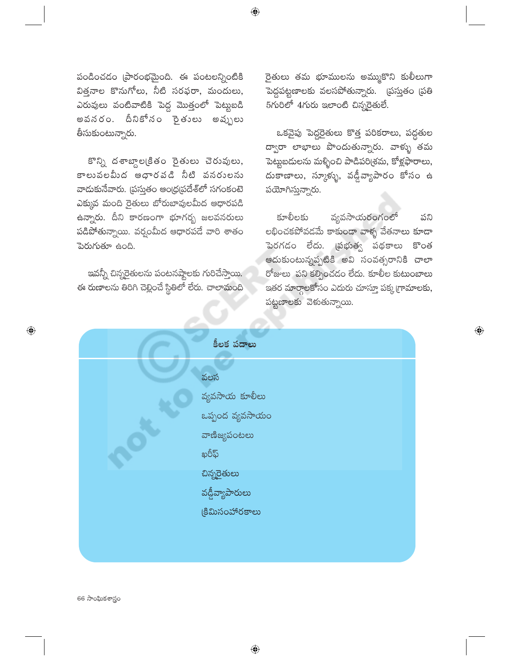పండించడం (పారంభమైంది. ఈ పంటలన్నింటికి విత్తనాల కొనుగోలు, నీటి సరఫరా, మందులు, ఎరువులు వంటివాటికి పెద్ద మొత్తంలో పెట్టబడి అవనరం. దీనికోనం సైతులు అవ్పులు తీసుకుంటున్నారు.

కొన్ని దశాబ్దాల(కితం రైతులు చెరువులు, కాలువలమీద ఆధారవడి నీటి వనరులను వాదుకునేవారు. (పస్తుతం ఆంధ్రప్రదేశ్లో సగంకంటె ఎక్కువ మంది రైతులు బోరుబావులమీద ఆధారపడి ఉన్నారు. దీని కారణంగా భూగర్భ జలవనరులు పడిపోతున్నాయి. వర్షంమీద ఆధారపడే వారి శాతం పెరుగుతూ ఉంది.

ఇవన్నీ చిన్నరైతులను పంటనష్టాలకు గురిచేస్తాయి. ఈ రుణాలను తిరిగి చెల్లించే స్థితిలో లేరు. చాలామంది రైతులు తమ భూములను అమ్ముకొని కులీలుగా పెద్దపట్టణాలకు వలసపోతున్నారు. (పస్తుతం (పతి  $5$ గురిలో  $4$ గురు ఇలాంటి చిన్నరైతులే.

ఒకవైపు పెద్దరైతులు కొత్త పరికరాలు, పద్ధతుల ద్వారా లాభాలు పొందుతున్నారు. వాళ్ళు తమ పెట్టుబదులను మళ్ళించి పాడిపరి(శమ, కోళ్లఫారాలు, దుకాణాలు, స్కూళ్ళు, వడ్డీవ్యాపారం కోసం ఉ పయోగిస్తున్నారు.

వ్యవసాయరంగంలో కూలీలకు పని లభించకపోవడమే కాకుండా వాళ్ళ వేతనాలు కూడా పెరగడం లేదు. (పభుత్వ పథకాలు కొంత ఆదుకుంటున్నప్పటికి అవి సంవత్సరానికి చాలా రోజులు పని కల్పించడం లేదు. కూలీల కుటుంబాలు ఇతర మార్గాలకోసం ఎదురు చూస్తూ పక్క గ్రామాలకు, పట్టణాలకు వెకుతున్నాయి.

 $\bigoplus$ 

| కీలక పదాలు      |
|-----------------|
| వలస             |
| వ్యవసాయ కూలీలు  |
| ఒప్పంద వ్యవసాయం |
| వాణిజ్యపంటలు    |
| ఖరీఫ్           |
| చిన్నరైతులు     |
| వడ్డీవ్యాపారులు |
| కిమిసంహారకాలు   |
|                 |
|                 |

 $\bigoplus$ 

66 సాంఘికశాస్త్రం

 $\bigoplus$